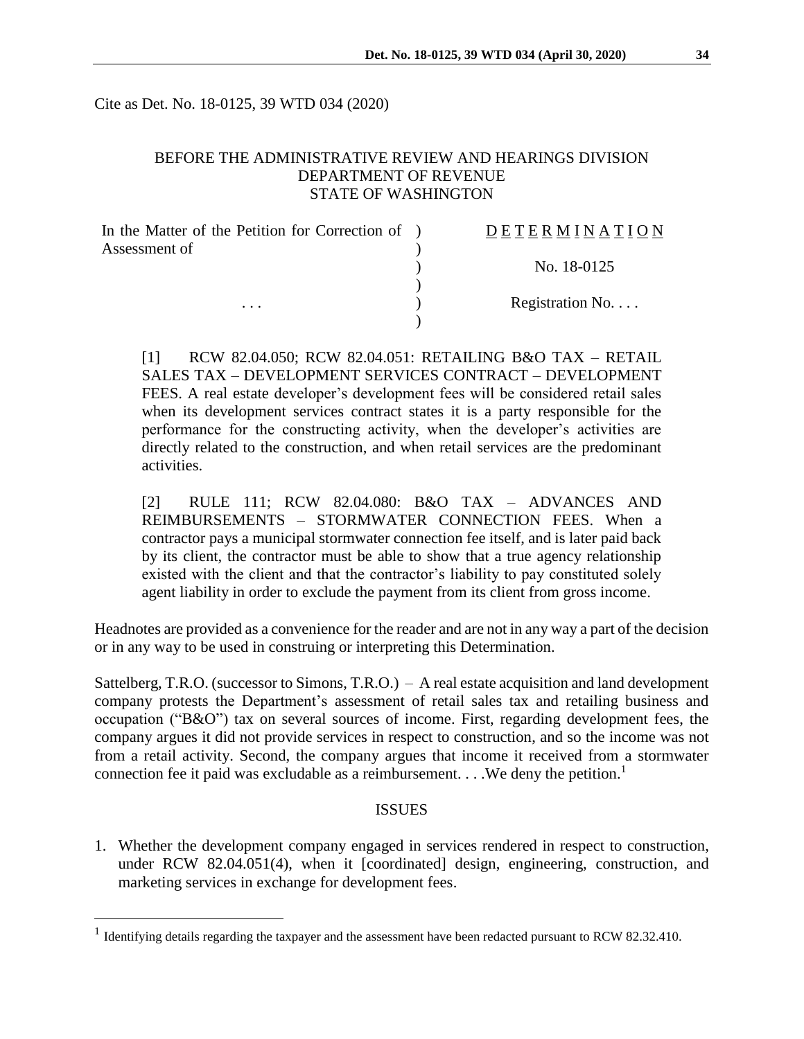Cite as Det. No. 18-0125, 39 WTD 034 (2020)

# BEFORE THE ADMINISTRATIVE REVIEW AND HEARINGS DIVISION DEPARTMENT OF REVENUE STATE OF WASHINGTON

| In the Matter of the Petition for Correction of ) | DETERMINATION   |
|---------------------------------------------------|-----------------|
| Assessment of                                     |                 |
|                                                   | No. 18-0125     |
|                                                   |                 |
| $\cdots$                                          | Registration No |
|                                                   |                 |

[1] RCW 82.04.050; RCW 82.04.051: RETAILING B&O TAX – RETAIL SALES TAX – DEVELOPMENT SERVICES CONTRACT – DEVELOPMENT FEES. A real estate developer's development fees will be considered retail sales when its development services contract states it is a party responsible for the performance for the constructing activity, when the developer's activities are directly related to the construction, and when retail services are the predominant activities.

[2] RULE 111; RCW 82.04.080: B&O TAX – ADVANCES AND REIMBURSEMENTS – STORMWATER CONNECTION FEES. When a contractor pays a municipal stormwater connection fee itself, and is later paid back by its client, the contractor must be able to show that a true agency relationship existed with the client and that the contractor's liability to pay constituted solely agent liability in order to exclude the payment from its client from gross income.

Headnotes are provided as a convenience for the reader and are not in any way a part of the decision or in any way to be used in construing or interpreting this Determination.

Sattelberg, T.R.O. (successor to Simons, T.R.O.) – A real estate acquisition and land development company protests the Department's assessment of retail sales tax and retailing business and occupation ("B&O") tax on several sources of income. First, regarding development fees, the company argues it did not provide services in respect to construction, and so the income was not from a retail activity. Second, the company argues that income it received from a stormwater connection fee it paid was excludable as a reimbursement.  $\dots$  We deny the petition.<sup>1</sup>

# ISSUES

1. Whether the development company engaged in services rendered in respect to construction, under RCW 82.04.051(4), when it [coordinated] design, engineering, construction, and marketing services in exchange for development fees.

 $\overline{a}$ 

<sup>&</sup>lt;sup>1</sup> Identifying details regarding the taxpayer and the assessment have been redacted pursuant to RCW 82.32.410.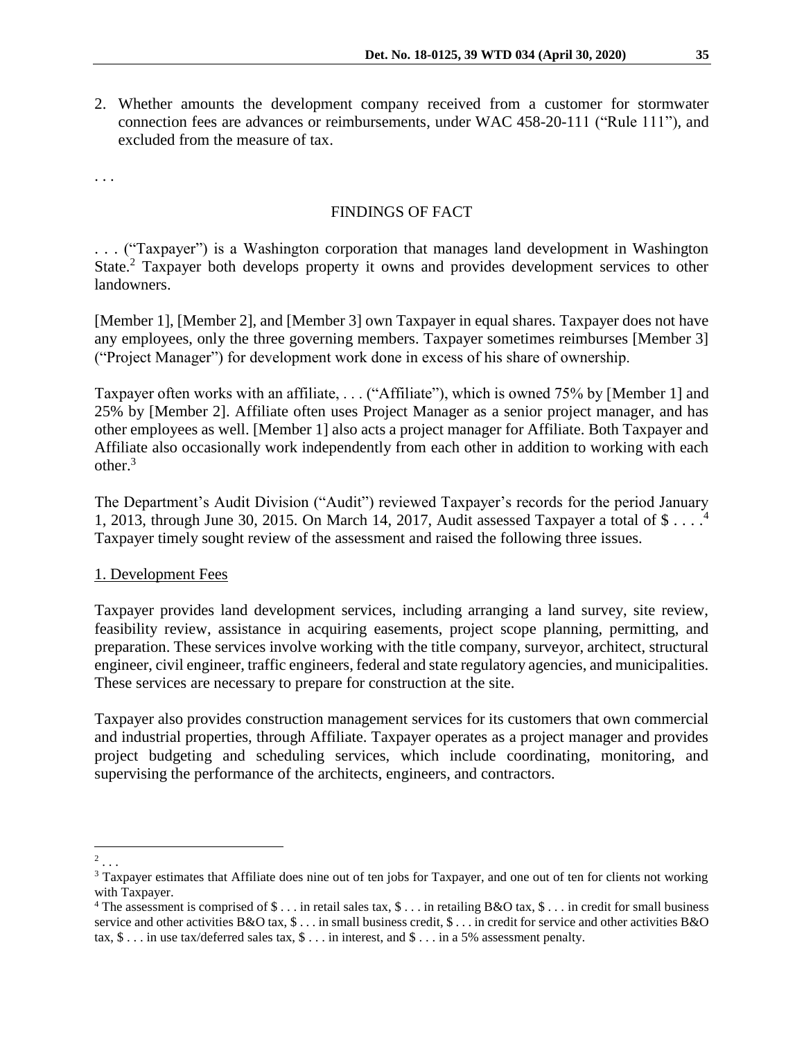2. Whether amounts the development company received from a customer for stormwater connection fees are advances or reimbursements, under WAC 458-20-111 ("Rule 111"), and excluded from the measure of tax.

. . .

### FINDINGS OF FACT

. . . ("Taxpayer") is a Washington corporation that manages land development in Washington State.<sup>2</sup> Taxpayer both develops property it owns and provides development services to other landowners.

[Member 1], [Member 2], and [Member 3] own Taxpayer in equal shares. Taxpayer does not have any employees, only the three governing members. Taxpayer sometimes reimburses [Member 3] ("Project Manager") for development work done in excess of his share of ownership.

Taxpayer often works with an affiliate, . . . ("Affiliate"), which is owned 75% by [Member 1] and 25% by [Member 2]. Affiliate often uses Project Manager as a senior project manager, and has other employees as well. [Member 1] also acts a project manager for Affiliate. Both Taxpayer and Affiliate also occasionally work independently from each other in addition to working with each other. $3$ 

The Department's Audit Division ("Audit") reviewed Taxpayer's records for the period January 1, 2013, through June 30, 2015. On March 14, 2017, Audit assessed Taxpayer a total of \$ . . . .<sup>4</sup> Taxpayer timely sought review of the assessment and raised the following three issues.

#### 1. Development Fees

Taxpayer provides land development services, including arranging a land survey, site review, feasibility review, assistance in acquiring easements, project scope planning, permitting, and preparation. These services involve working with the title company, surveyor, architect, structural engineer, civil engineer, traffic engineers, federal and state regulatory agencies, and municipalities. These services are necessary to prepare for construction at the site.

Taxpayer also provides construction management services for its customers that own commercial and industrial properties, through Affiliate. Taxpayer operates as a project manager and provides project budgeting and scheduling services, which include coordinating, monitoring, and supervising the performance of the architects, engineers, and contractors.

 $\overline{a}$  $2$ ...

<sup>&</sup>lt;sup>3</sup> Taxpayer estimates that Affiliate does nine out of ten jobs for Taxpayer, and one out of ten for clients not working with Taxpayer.

<sup>&</sup>lt;sup>4</sup> The assessment is comprised of  $\$\dots$  in retail sales tax,  $\$\dots$  in retailing B&O tax,  $\$\dots$  in credit for small business service and other activities B&O tax, \$ . . . in small business credit, \$ . . . in credit for service and other activities B&O tax, \$ . . . in use tax/deferred sales tax, \$ . . . in interest, and \$ . . . in a 5% assessment penalty.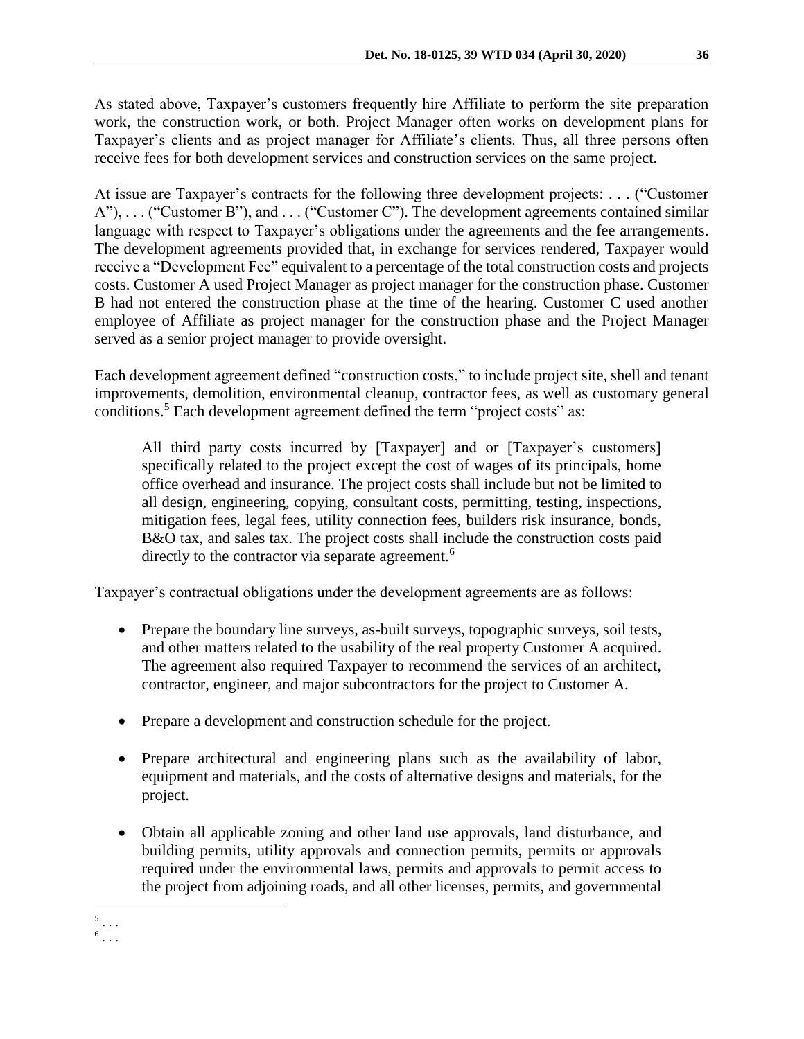As stated above, Taxpayer's customers frequently hire Affiliate to perform the site preparation work, the construction work, or both. Project Manager often works on development plans for Taxpayer's clients and as project manager for Affiliate's clients. Thus, all three persons often receive fees for both development services and construction services on the same project.

At issue are Taxpayer's contracts for the following three development projects: . . . ("Customer A"), . . . ("Customer B"), and . . . ("Customer C"). The development agreements contained similar language with respect to Taxpayer's obligations under the agreements and the fee arrangements. The development agreements provided that, in exchange for services rendered, Taxpayer would receive a "Development Fee" equivalent to a percentage of the total construction costs and projects costs. Customer A used Project Manager as project manager for the construction phase. Customer B had not entered the construction phase at the time of the hearing. Customer C used another employee of Affiliate as project manager for the construction phase and the Project Manager served as a senior project manager to provide oversight.

Each development agreement defined "construction costs," to include project site, shell and tenant improvements, demolition, environmental cleanup, contractor fees, as well as customary general conditions.<sup>5</sup> Each development agreement defined the term "project costs" as:

All third party costs incurred by [Taxpayer] and or [Taxpayer's customers] specifically related to the project except the cost of wages of its principals, home office overhead and insurance. The project costs shall include but not be limited to all design, engineering, copying, consultant costs, permitting, testing, inspections, mitigation fees, legal fees, utility connection fees, builders risk insurance, bonds, B&O tax, and sales tax. The project costs shall include the construction costs paid directly to the contractor via separate agreement.<sup>6</sup>

Taxpayer's contractual obligations under the development agreements are as follows:

- Prepare the boundary line surveys, as-built surveys, topographic surveys, soil tests, and other matters related to the usability of the real property Customer A acquired. The agreement also required Taxpayer to recommend the services of an architect, contractor, engineer, and major subcontractors for the project to Customer A.
- Prepare a development and construction schedule for the project.
- Prepare architectural and engineering plans such as the availability of labor, equipment and materials, and the costs of alternative designs and materials, for the project.
- Obtain all applicable zoning and other land use approvals, land disturbance, and building permits, utility approvals and connection permits, permits or approvals required under the environmental laws, permits and approvals to permit access to the project from adjoining roads, and all other licenses, permits, and governmental

 $5 \ldots$ 

<sup>6</sup> . . .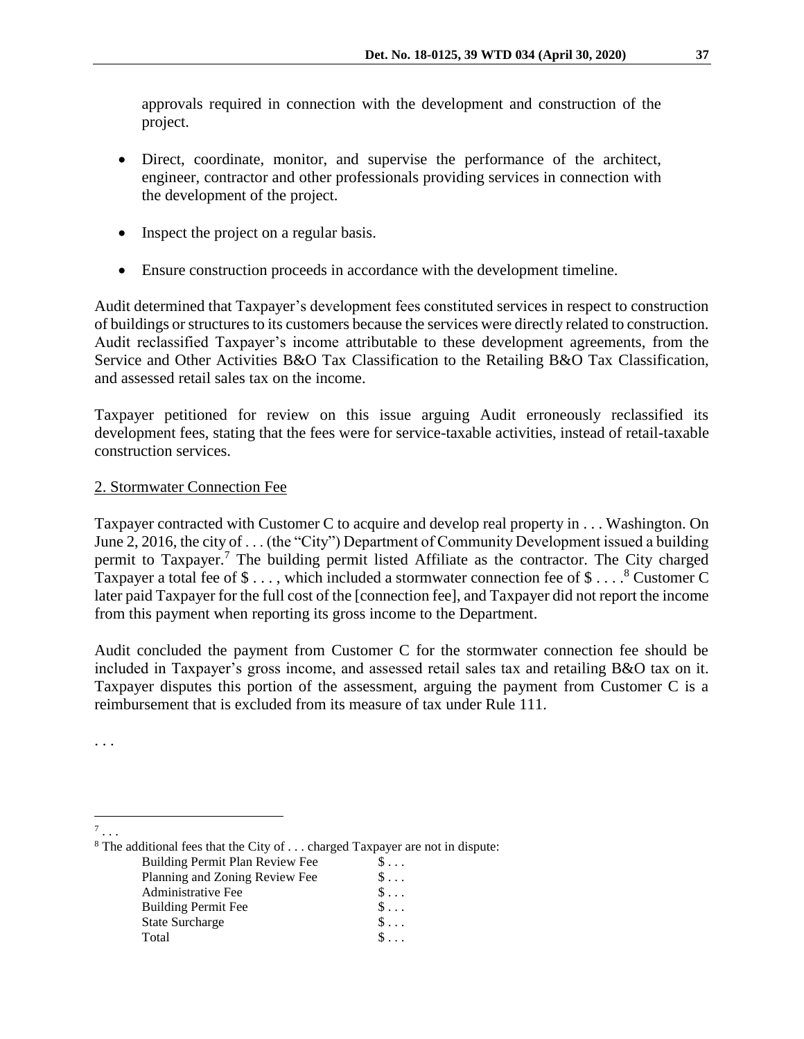approvals required in connection with the development and construction of the project.

- Direct, coordinate, monitor, and supervise the performance of the architect, engineer, contractor and other professionals providing services in connection with the development of the project.
- Inspect the project on a regular basis.
- Ensure construction proceeds in accordance with the development timeline.

Audit determined that Taxpayer's development fees constituted services in respect to construction of buildings or structures to its customers because the services were directly related to construction. Audit reclassified Taxpayer's income attributable to these development agreements, from the Service and Other Activities B&O Tax Classification to the Retailing B&O Tax Classification, and assessed retail sales tax on the income.

Taxpayer petitioned for review on this issue arguing Audit erroneously reclassified its development fees, stating that the fees were for service-taxable activities, instead of retail-taxable construction services.

# 2. Stormwater Connection Fee

Taxpayer contracted with Customer C to acquire and develop real property in . . . Washington. On June 2, 2016, the city of . . . (the "City") Department of Community Development issued a building permit to Taxpayer.<sup>7</sup> The building permit listed Affiliate as the contractor. The City charged Taxpayer a total fee of  $\$\dots$ , which included a stormwater connection fee of  $\$\dots$ .<sup>8</sup> Customer C later paid Taxpayer for the full cost of the [connection fee], and Taxpayer did not report the income from this payment when reporting its gross income to the Department.

Audit concluded the payment from Customer C for the stormwater connection fee should be included in Taxpayer's gross income, and assessed retail sales tax and retailing B&O tax on it. Taxpayer disputes this portion of the assessment, arguing the payment from Customer C is a reimbursement that is excluded from its measure of tax under Rule 111.

. . .

 $\overline{a}$ 7 . . .

<sup>8</sup> The additional fees that the City of . . . charged Taxpayer are not in dispute:

Building Permit Plan Review Fee  $\$\dots$ Planning and Zoning Review Fee  $\begin{array}{c} \S \dots \\ \S \dots \end{array}$ Administrative Fee Building Permit Fee  $\$\dots$ State Surcharge  $\qquad \qquad$  \$ ... Total  $\qquad \qquad \mathbb{S} \ldots$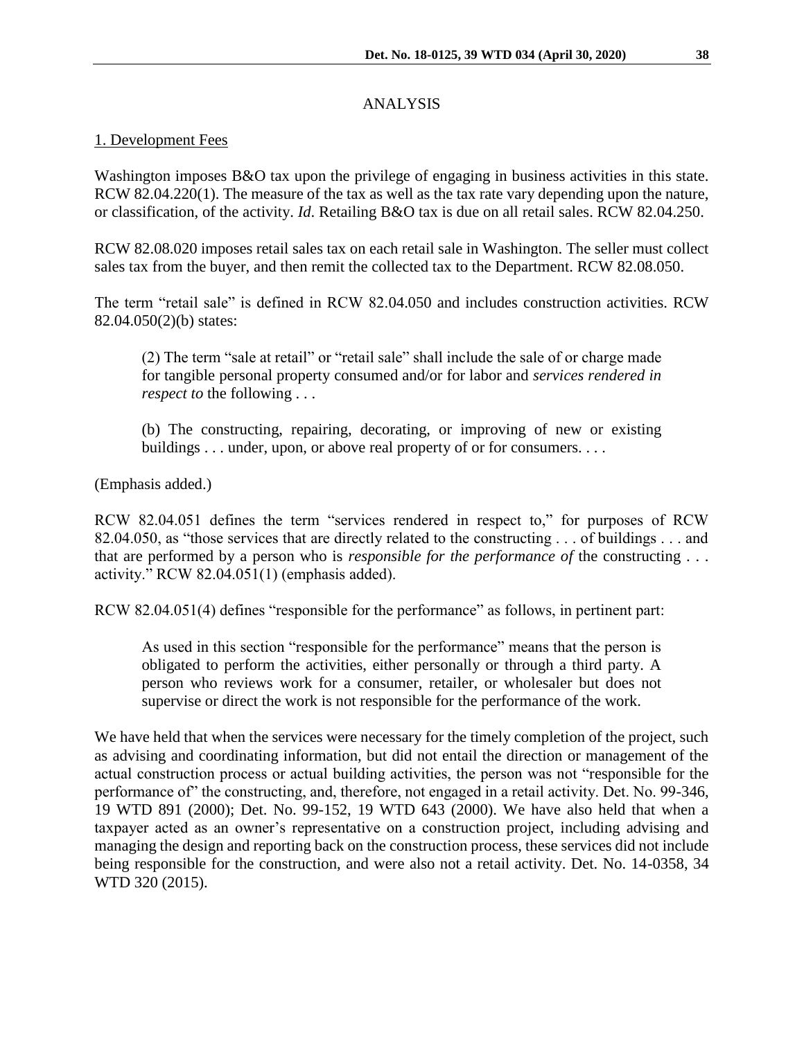# ANALYSIS

# 1. Development Fees

Washington imposes B&O tax upon the privilege of engaging in business activities in this state. RCW 82.04.220(1). The measure of the tax as well as the tax rate vary depending upon the nature, or classification, of the activity. *Id*. Retailing B&O tax is due on all retail sales. RCW 82.04.250.

RCW 82.08.020 imposes retail sales tax on each retail sale in Washington. The seller must collect sales tax from the buyer, and then remit the collected tax to the Department. RCW 82.08.050.

The term "retail sale" is defined in RCW 82.04.050 and includes construction activities. RCW 82.04.050(2)(b) states:

(2) The term "sale at retail" or "retail sale" shall include the sale of or charge made for tangible personal property consumed and/or for labor and *services rendered in respect to* the following . . .

(b) The constructing, repairing, decorating, or improving of new or existing buildings . . . under, upon, or above real property of or for consumers. . . .

(Emphasis added.)

RCW 82.04.051 defines the term "services rendered in respect to," for purposes of RCW 82.04.050, as "those services that are directly related to the constructing . . . of buildings . . . and that are performed by a person who is *responsible for the performance of* the constructing . . . activity." RCW 82.04.051(1) (emphasis added).

RCW 82.04.051(4) defines "responsible for the performance" as follows, in pertinent part:

As used in this section "responsible for the performance" means that the person is obligated to perform the activities, either personally or through a third party. A person who reviews work for a consumer, retailer, or wholesaler but does not supervise or direct the work is not responsible for the performance of the work.

We have held that when the services were necessary for the timely completion of the project, such as advising and coordinating information, but did not entail the direction or management of the actual construction process or actual building activities, the person was not "responsible for the performance of" the constructing, and, therefore, not engaged in a retail activity. Det. No. 99-346, 19 WTD 891 (2000); Det. No. 99-152, 19 WTD 643 (2000). We have also held that when a taxpayer acted as an owner's representative on a construction project, including advising and managing the design and reporting back on the construction process, these services did not include being responsible for the construction, and were also not a retail activity. Det. No. 14-0358, 34 WTD 320 (2015).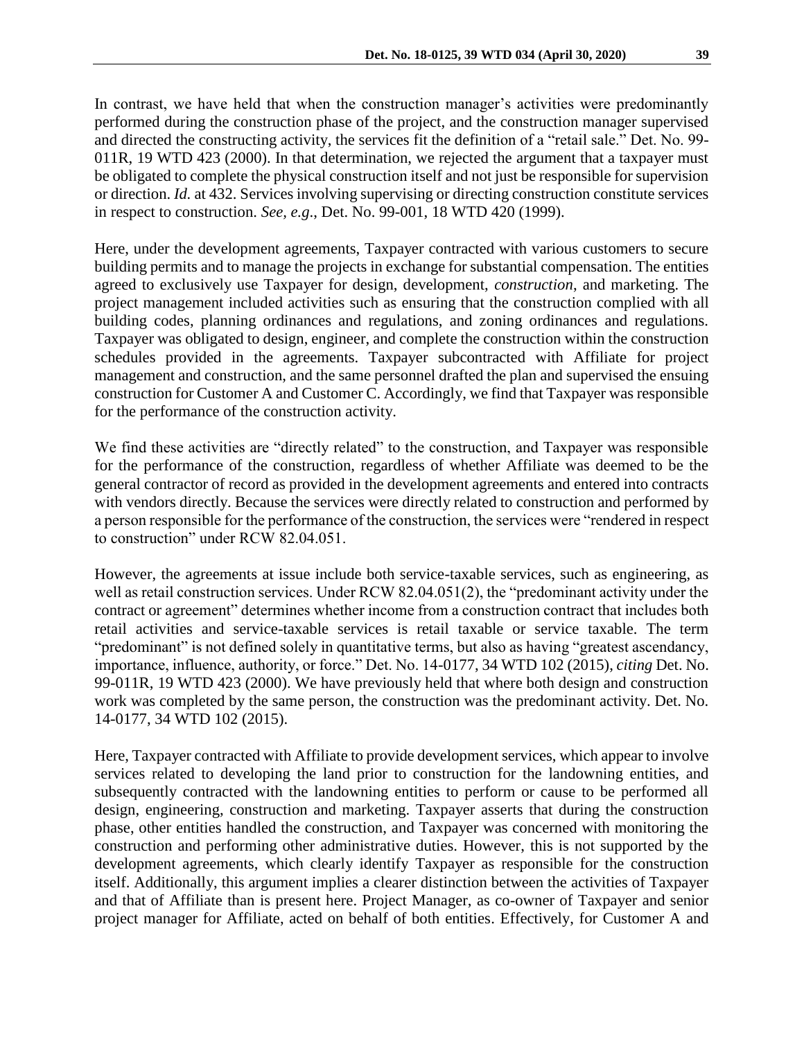In contrast, we have held that when the construction manager's activities were predominantly performed during the construction phase of the project, and the construction manager supervised and directed the constructing activity, the services fit the definition of a "retail sale." Det. No. 99- 011R, 19 WTD 423 (2000). In that determination, we rejected the argument that a taxpayer must be obligated to complete the physical construction itself and not just be responsible for supervision or direction. *Id.* at 432. Services involving supervising or directing construction constitute services in respect to construction. *See, e.g*., Det. No. 99-001, 18 WTD 420 (1999).

Here, under the development agreements, Taxpayer contracted with various customers to secure building permits and to manage the projects in exchange for substantial compensation. The entities agreed to exclusively use Taxpayer for design, development, *construction*, and marketing. The project management included activities such as ensuring that the construction complied with all building codes, planning ordinances and regulations, and zoning ordinances and regulations. Taxpayer was obligated to design, engineer, and complete the construction within the construction schedules provided in the agreements. Taxpayer subcontracted with Affiliate for project management and construction, and the same personnel drafted the plan and supervised the ensuing construction for Customer A and Customer C. Accordingly, we find that Taxpayer was responsible for the performance of the construction activity.

We find these activities are "directly related" to the construction, and Taxpayer was responsible for the performance of the construction, regardless of whether Affiliate was deemed to be the general contractor of record as provided in the development agreements and entered into contracts with vendors directly. Because the services were directly related to construction and performed by a person responsible for the performance of the construction, the services were "rendered in respect to construction" under RCW 82.04.051.

However, the agreements at issue include both service-taxable services, such as engineering, as well as retail construction services. Under RCW 82.04.051(2), the "predominant activity under the contract or agreement" determines whether income from a construction contract that includes both retail activities and service-taxable services is retail taxable or service taxable. The term "predominant" is not defined solely in quantitative terms, but also as having "greatest ascendancy, importance, influence, authority, or force." Det. No. 14-0177, 34 WTD 102 (2015), *citing* Det. No. 99-011R, 19 WTD 423 (2000). We have previously held that where both design and construction work was completed by the same person, the construction was the predominant activity. Det. No. 14-0177, 34 WTD 102 (2015).

Here, Taxpayer contracted with Affiliate to provide development services, which appear to involve services related to developing the land prior to construction for the landowning entities, and subsequently contracted with the landowning entities to perform or cause to be performed all design, engineering, construction and marketing. Taxpayer asserts that during the construction phase, other entities handled the construction, and Taxpayer was concerned with monitoring the construction and performing other administrative duties. However, this is not supported by the development agreements, which clearly identify Taxpayer as responsible for the construction itself. Additionally, this argument implies a clearer distinction between the activities of Taxpayer and that of Affiliate than is present here. Project Manager, as co-owner of Taxpayer and senior project manager for Affiliate, acted on behalf of both entities. Effectively, for Customer A and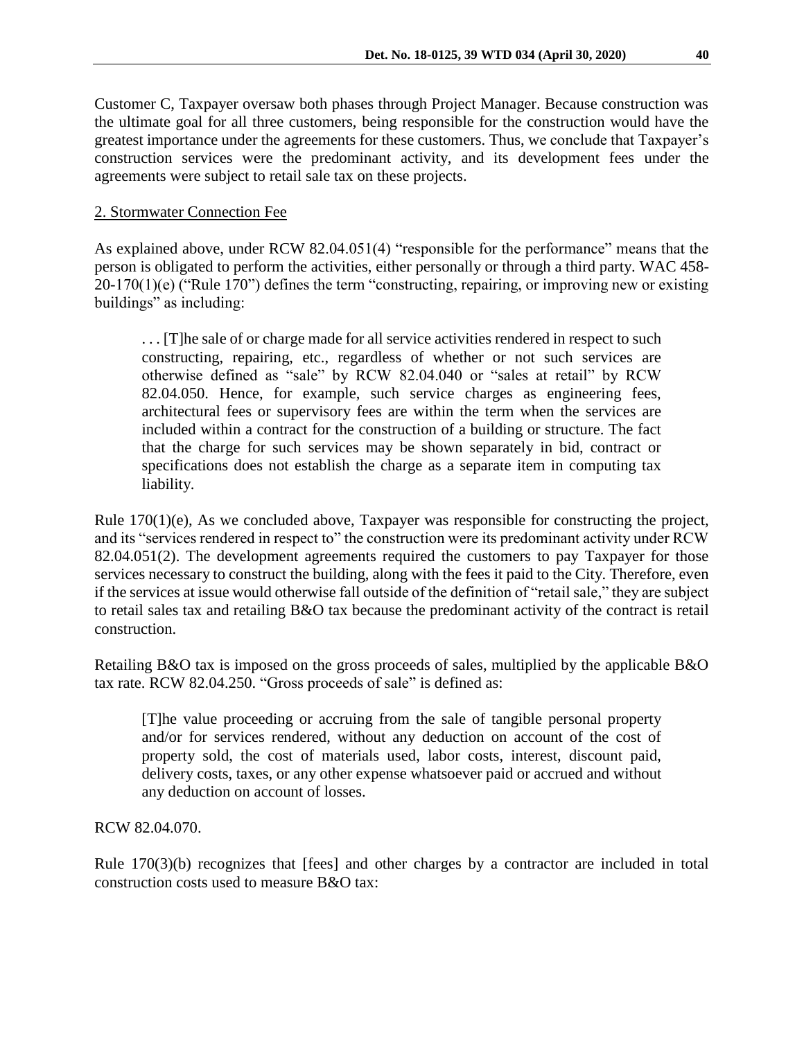Customer C, Taxpayer oversaw both phases through Project Manager. Because construction was the ultimate goal for all three customers, being responsible for the construction would have the greatest importance under the agreements for these customers. Thus, we conclude that Taxpayer's construction services were the predominant activity, and its development fees under the agreements were subject to retail sale tax on these projects.

# 2. Stormwater Connection Fee

As explained above, under RCW 82.04.051(4) "responsible for the performance" means that the person is obligated to perform the activities, either personally or through a third party. WAC 458- 20-170(1)(e) ("Rule 170") defines the term "constructing, repairing, or improving new or existing buildings" as including:

. . . [T]he sale of or charge made for all service activities rendered in respect to such constructing, repairing, etc., regardless of whether or not such services are otherwise defined as "sale" by RCW 82.04.040 or "sales at retail" by RCW 82.04.050. Hence, for example, such service charges as engineering fees, architectural fees or supervisory fees are within the term when the services are included within a contract for the construction of a building or structure. The fact that the charge for such services may be shown separately in bid, contract or specifications does not establish the charge as a separate item in computing tax liability.

Rule 170(1)(e), As we concluded above, Taxpayer was responsible for constructing the project, and its "services rendered in respect to" the construction were its predominant activity under RCW 82.04.051(2). The development agreements required the customers to pay Taxpayer for those services necessary to construct the building, along with the fees it paid to the City. Therefore, even if the services at issue would otherwise fall outside of the definition of "retail sale," they are subject to retail sales tax and retailing B&O tax because the predominant activity of the contract is retail construction.

Retailing B&O tax is imposed on the gross proceeds of sales, multiplied by the applicable B&O tax rate. RCW 82.04.250. "Gross proceeds of sale" is defined as:

[T]he value proceeding or accruing from the sale of tangible personal property and/or for services rendered, without any deduction on account of the cost of property sold, the cost of materials used, labor costs, interest, discount paid, delivery costs, taxes, or any other expense whatsoever paid or accrued and without any deduction on account of losses.

RCW 82.04.070.

Rule 170(3)(b) recognizes that [fees] and other charges by a contractor are included in total construction costs used to measure B&O tax: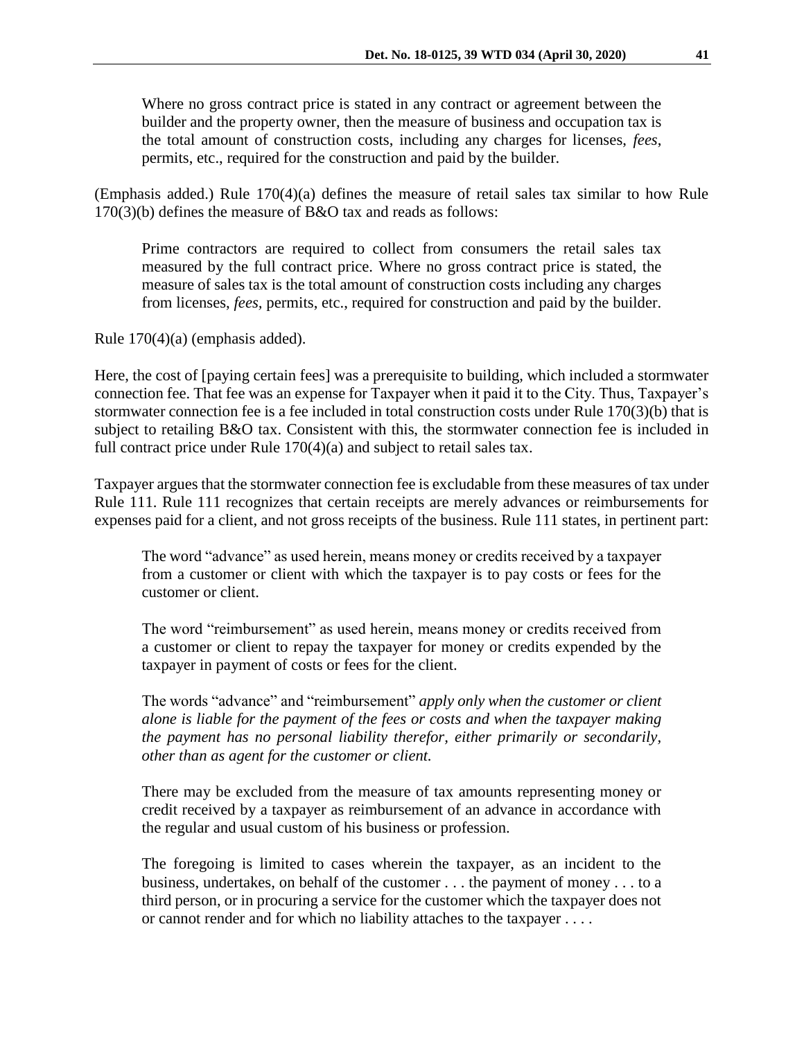Where no gross contract price is stated in any contract or agreement between the builder and the property owner, then the measure of business and occupation tax is the total amount of construction costs, including any charges for licenses, *fees*, permits, etc., required for the construction and paid by the builder.

(Emphasis added.) Rule 170(4)(a) defines the measure of retail sales tax similar to how Rule 170(3)(b) defines the measure of B&O tax and reads as follows:

Prime contractors are required to collect from consumers the retail sales tax measured by the full contract price. Where no gross contract price is stated, the measure of sales tax is the total amount of construction costs including any charges from licenses, *fees,* permits, etc., required for construction and paid by the builder.

Rule 170(4)(a) (emphasis added).

Here, the cost of [paying certain fees] was a prerequisite to building, which included a stormwater connection fee. That fee was an expense for Taxpayer when it paid it to the City. Thus, Taxpayer's stormwater connection fee is a fee included in total construction costs under Rule 170(3)(b) that is subject to retailing B&O tax. Consistent with this, the stormwater connection fee is included in full contract price under Rule 170(4)(a) and subject to retail sales tax.

Taxpayer argues that the stormwater connection fee is excludable from these measures of tax under Rule 111. Rule 111 recognizes that certain receipts are merely advances or reimbursements for expenses paid for a client, and not gross receipts of the business. Rule 111 states, in pertinent part:

The word "advance" as used herein, means money or credits received by a taxpayer from a customer or client with which the taxpayer is to pay costs or fees for the customer or client.

The word "reimbursement" as used herein, means money or credits received from a customer or client to repay the taxpayer for money or credits expended by the taxpayer in payment of costs or fees for the client.

The words "advance" and "reimbursement" *apply only when the customer or client alone is liable for the payment of the fees or costs and when the taxpayer making the payment has no personal liability therefor, either primarily or secondarily, other than as agent for the customer or client.*

There may be excluded from the measure of tax amounts representing money or credit received by a taxpayer as reimbursement of an advance in accordance with the regular and usual custom of his business or profession.

The foregoing is limited to cases wherein the taxpayer, as an incident to the business, undertakes, on behalf of the customer . . . the payment of money . . . to a third person, or in procuring a service for the customer which the taxpayer does not or cannot render and for which no liability attaches to the taxpayer . . . .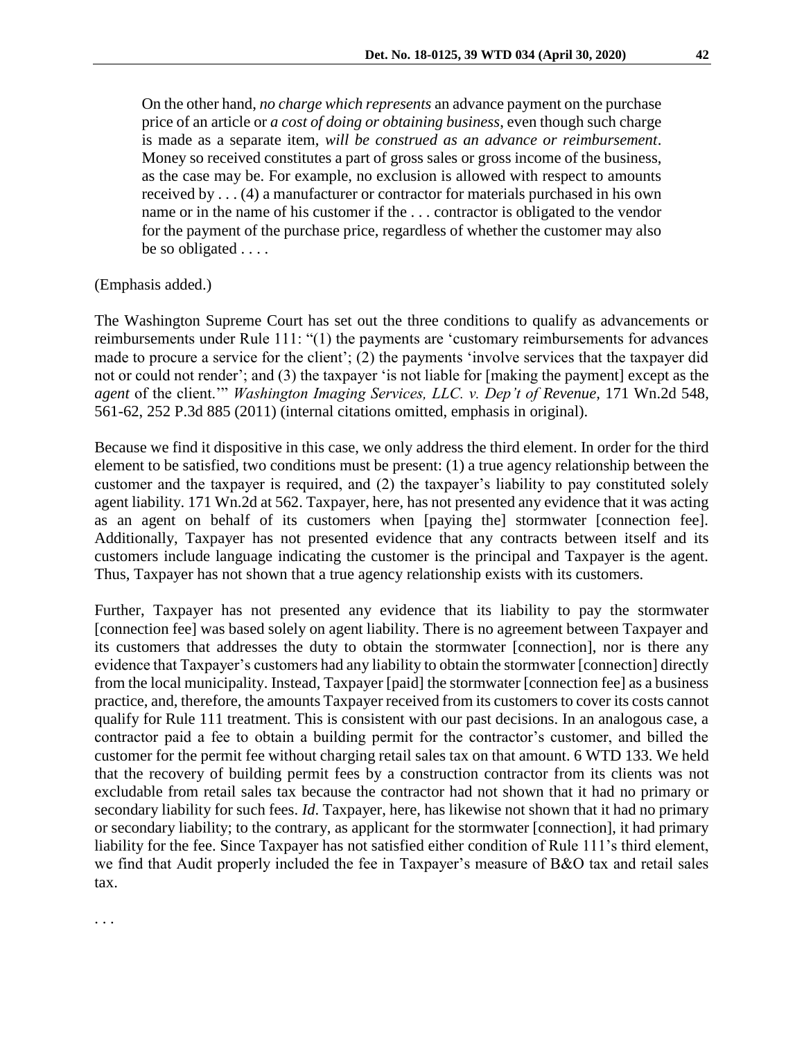On the other hand, *no charge which represents* an advance payment on the purchase price of an article or *a cost of doing or obtaining business*, even though such charge is made as a separate item, *will be construed as an advance or reimbursement*. Money so received constitutes a part of gross sales or gross income of the business, as the case may be. For example, no exclusion is allowed with respect to amounts received by . . . (4) a manufacturer or contractor for materials purchased in his own name or in the name of his customer if the . . . contractor is obligated to the vendor for the payment of the purchase price, regardless of whether the customer may also be so obligated . . . .

#### (Emphasis added.)

. . .

The Washington Supreme Court has set out the three conditions to qualify as advancements or reimbursements under Rule 111: "(1) the payments are 'customary reimbursements for advances made to procure a service for the client'; (2) the payments 'involve services that the taxpayer did not or could not render'; and (3) the taxpayer 'is not liable for [making the payment] except as the *agent* of the client.'" *Washington Imaging Services, LLC. v. Dep't of Revenue,* 171 Wn.2d 548, 561-62, 252 P.3d 885 (2011) (internal citations omitted, emphasis in original).

Because we find it dispositive in this case, we only address the third element. In order for the third element to be satisfied, two conditions must be present: (1) a true agency relationship between the customer and the taxpayer is required, and (2) the taxpayer's liability to pay constituted solely agent liability. 171 Wn.2d at 562. Taxpayer, here, has not presented any evidence that it was acting as an agent on behalf of its customers when [paying the] stormwater [connection fee]. Additionally, Taxpayer has not presented evidence that any contracts between itself and its customers include language indicating the customer is the principal and Taxpayer is the agent. Thus, Taxpayer has not shown that a true agency relationship exists with its customers.

Further, Taxpayer has not presented any evidence that its liability to pay the stormwater [connection fee] was based solely on agent liability. There is no agreement between Taxpayer and its customers that addresses the duty to obtain the stormwater [connection], nor is there any evidence that Taxpayer's customers had any liability to obtain the stormwater [connection] directly from the local municipality. Instead, Taxpayer [paid] the stormwater [connection fee] as a business practice, and, therefore, the amounts Taxpayer received from its customers to cover its costs cannot qualify for Rule 111 treatment. This is consistent with our past decisions. In an analogous case, a contractor paid a fee to obtain a building permit for the contractor's customer, and billed the customer for the permit fee without charging retail sales tax on that amount. 6 WTD 133. We held that the recovery of building permit fees by a construction contractor from its clients was not excludable from retail sales tax because the contractor had not shown that it had no primary or secondary liability for such fees. *Id*. Taxpayer, here, has likewise not shown that it had no primary or secondary liability; to the contrary, as applicant for the stormwater [connection], it had primary liability for the fee. Since Taxpayer has not satisfied either condition of Rule 111's third element, we find that Audit properly included the fee in Taxpayer's measure of B&O tax and retail sales tax.